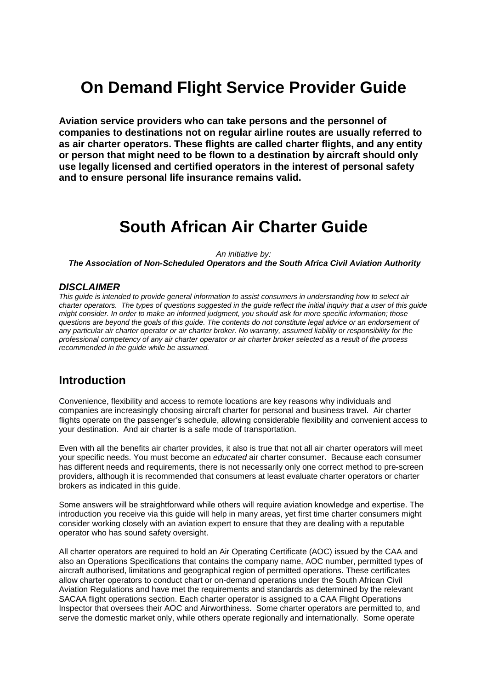# **On Demand Flight Service Provider Guide**

**Aviation service providers who can take persons and the personnel of companies to destinations not on regular airline routes are usually referred to as air charter operators. These flights are called charter flights, and any entity or person that might need to be flown to a destination by aircraft should only use legally licensed and certified operators in the interest of personal safety and to ensure personal life insurance remains valid.** 

## **South African Air Charter Guide**

An initiative by:

**The Association of Non-Scheduled Operators and the South Africa Civil Aviation Authority**

#### **DISCLAIMER**

This guide is intended to provide general information to assist consumers in understanding how to select air charter operators. The types of questions suggested in the guide reflect the initial inquiry that a user of this guide might consider. In order to make an informed judgment, you should ask for more specific information; those questions are beyond the goals of this guide. The contents do not constitute legal advice or an endorsement of any particular air charter operator or air charter broker. No warranty, assumed liability or responsibility for the professional competency of any air charter operator or air charter broker selected as a result of the process recommended in the guide while be assumed.

#### **Introduction**

Convenience, flexibility and access to remote locations are key reasons why individuals and companies are increasingly choosing aircraft charter for personal and business travel. Air charter flights operate on the passenger's schedule, allowing considerable flexibility and convenient access to your destination. And air charter is a safe mode of transportation.

Even with all the benefits air charter provides, it also is true that not all air charter operators will meet your specific needs. You must become an educated air charter consumer. Because each consumer has different needs and requirements, there is not necessarily only one correct method to pre-screen providers, although it is recommended that consumers at least evaluate charter operators or charter brokers as indicated in this guide.

Some answers will be straightforward while others will require aviation knowledge and expertise. The introduction you receive via this guide will help in many areas, yet first time charter consumers might consider working closely with an aviation expert to ensure that they are dealing with a reputable operator who has sound safety oversight.

All charter operators are required to hold an Air Operating Certificate (AOC) issued by the CAA and also an Operations Specifications that contains the company name, AOC number, permitted types of aircraft authorised, limitations and geographical region of permitted operations. These certificates allow charter operators to conduct chart or on-demand operations under the South African Civil Aviation Regulations and have met the requirements and standards as determined by the relevant SACAA flight operations section. Each charter operator is assigned to a CAA Flight Operations Inspector that oversees their AOC and Airworthiness. Some charter operators are permitted to, and serve the domestic market only, while others operate regionally and internationally. Some operate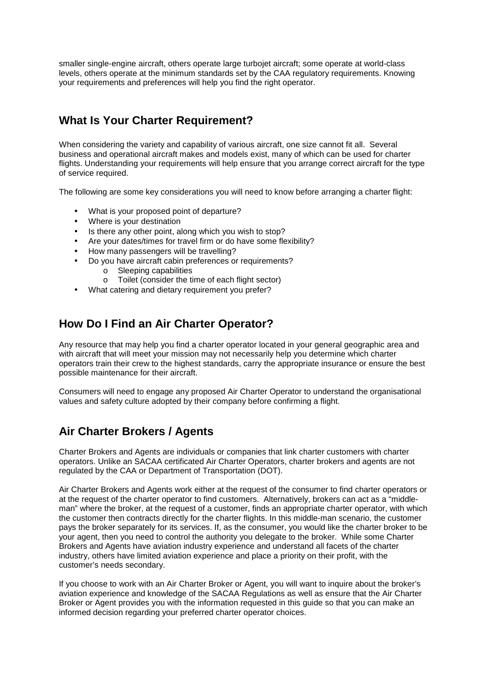smaller single-engine aircraft, others operate large turbojet aircraft; some operate at world-class levels, others operate at the minimum standards set by the CAA regulatory requirements. Knowing your requirements and preferences will help you find the right operator.

### **What Is Your Charter Requirement?**

When considering the variety and capability of various aircraft, one size cannot fit all. Several business and operational aircraft makes and models exist, many of which can be used for charter flights. Understanding your requirements will help ensure that you arrange correct aircraft for the type of service required.

The following are some key considerations you will need to know before arranging a charter flight:

- What is your proposed point of departure?
- Where is your destination
- Is there any other point, along which you wish to stop?
- Are your dates/times for travel firm or do have some flexibility?
- How many passengers will be travelling?
- Do you have aircraft cabin preferences or requirements?
	- o Sleeping capabilities
	- o Toilet (consider the time of each flight sector)
- What catering and dietary requirement you prefer?

#### **How Do I Find an Air Charter Operator?**

Any resource that may help you find a charter operator located in your general geographic area and with aircraft that will meet your mission may not necessarily help you determine which charter operators train their crew to the highest standards, carry the appropriate insurance or ensure the best possible maintenance for their aircraft.

Consumers will need to engage any proposed Air Charter Operator to understand the organisational values and safety culture adopted by their company before confirming a flight.

### **Air Charter Brokers / Agents**

Charter Brokers and Agents are individuals or companies that link charter customers with charter operators. Unlike an SACAA certificated Air Charter Operators, charter brokers and agents are not regulated by the CAA or Department of Transportation (DOT).

Air Charter Brokers and Agents work either at the request of the consumer to find charter operators or at the request of the charter operator to find customers. Alternatively, brokers can act as a "middleman" where the broker, at the request of a customer, finds an appropriate charter operator, with which the customer then contracts directly for the charter flights. In this middle-man scenario, the customer pays the broker separately for its services. If, as the consumer, you would like the charter broker to be your agent, then you need to control the authority you delegate to the broker. While some Charter Brokers and Agents have aviation industry experience and understand all facets of the charter industry, others have limited aviation experience and place a priority on their profit, with the customer's needs secondary.

If you choose to work with an Air Charter Broker or Agent, you will want to inquire about the broker's aviation experience and knowledge of the SACAA Regulations as well as ensure that the Air Charter Broker or Agent provides you with the information requested in this guide so that you can make an informed decision regarding your preferred charter operator choices.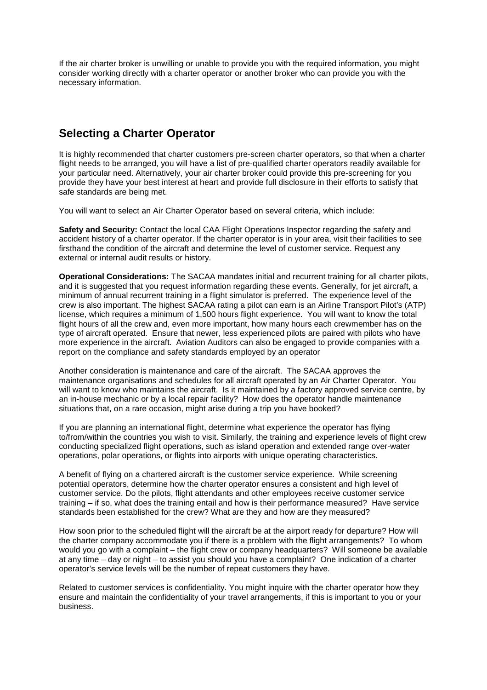If the air charter broker is unwilling or unable to provide you with the required information, you might consider working directly with a charter operator or another broker who can provide you with the necessary information.

#### **Selecting a Charter Operator**

It is highly recommended that charter customers pre-screen charter operators, so that when a charter flight needs to be arranged, you will have a list of pre-qualified charter operators readily available for your particular need. Alternatively, your air charter broker could provide this pre-screening for you provide they have your best interest at heart and provide full disclosure in their efforts to satisfy that safe standards are being met.

You will want to select an Air Charter Operator based on several criteria, which include:

**Safety and Security:** Contact the local CAA Flight Operations Inspector regarding the safety and accident history of a charter operator. If the charter operator is in your area, visit their facilities to see firsthand the condition of the aircraft and determine the level of customer service. Request any external or internal audit results or history.

**Operational Considerations:** The SACAA mandates initial and recurrent training for all charter pilots, and it is suggested that you request information regarding these events. Generally, for jet aircraft, a minimum of annual recurrent training in a flight simulator is preferred. The experience level of the crew is also important. The highest SACAA rating a pilot can earn is an Airline Transport Pilot's (ATP) license, which requires a minimum of 1,500 hours flight experience. You will want to know the total flight hours of all the crew and, even more important, how many hours each crewmember has on the type of aircraft operated. Ensure that newer, less experienced pilots are paired with pilots who have more experience in the aircraft. Aviation Auditors can also be engaged to provide companies with a report on the compliance and safety standards employed by an operator

Another consideration is maintenance and care of the aircraft. The SACAA approves the maintenance organisations and schedules for all aircraft operated by an Air Charter Operator. You will want to know who maintains the aircraft. Is it maintained by a factory approved service centre, by an in-house mechanic or by a local repair facility? How does the operator handle maintenance situations that, on a rare occasion, might arise during a trip you have booked?

If you are planning an international flight, determine what experience the operator has flying to/from/within the countries you wish to visit. Similarly, the training and experience levels of flight crew conducting specialized flight operations, such as island operation and extended range over-water operations, polar operations, or flights into airports with unique operating characteristics.

A benefit of flying on a chartered aircraft is the customer service experience. While screening potential operators, determine how the charter operator ensures a consistent and high level of customer service. Do the pilots, flight attendants and other employees receive customer service training – if so, what does the training entail and how is their performance measured? Have service standards been established for the crew? What are they and how are they measured?

How soon prior to the scheduled flight will the aircraft be at the airport ready for departure? How will the charter company accommodate you if there is a problem with the flight arrangements? To whom would you go with a complaint – the flight crew or company headquarters? Will someone be available at any time – day or night – to assist you should you have a complaint? One indication of a charter operator's service levels will be the number of repeat customers they have.

Related to customer services is confidentiality. You might inquire with the charter operator how they ensure and maintain the confidentiality of your travel arrangements, if this is important to you or your business.